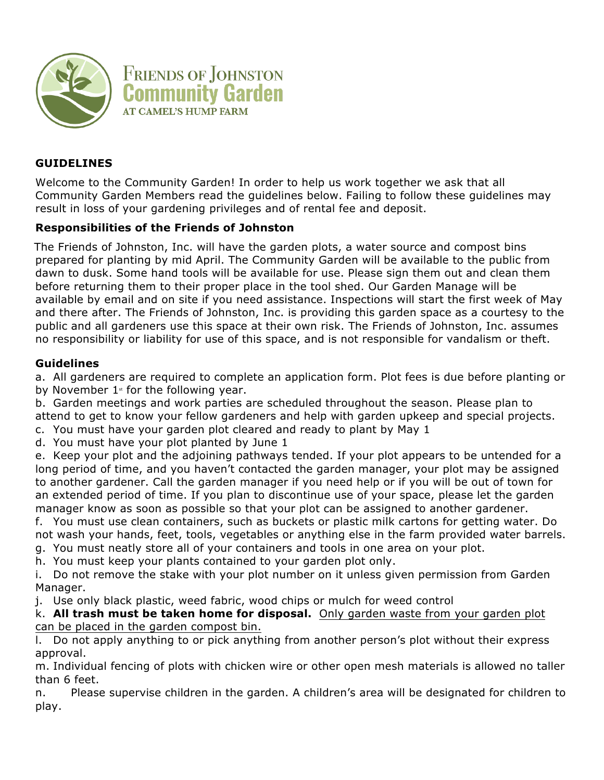

# **GUIDELINES**

Welcome to the Community Garden! In order to help us work together we ask that all Community Garden Members read the guidelines below. Failing to follow these guidelines may result in loss of your gardening privileges and of rental fee and deposit.

## **Responsibilities of the Friends of Johnston**

The Friends of Johnston, Inc. will have the garden plots, a water source and compost bins prepared for planting by mid April. The Community Garden will be available to the public from dawn to dusk. Some hand tools will be available for use. Please sign them out and clean them before returning them to their proper place in the tool shed. Our Garden Manage will be available by email and on site if you need assistance. Inspections will start the first week of May and there after. The Friends of Johnston, Inc. is providing this garden space as a courtesy to the public and all gardeners use this space at their own risk. The Friends of Johnston, Inc. assumes no responsibility or liability for use of this space, and is not responsible for vandalism or theft.

### **Guidelines**

a. All gardeners are required to complete an application form. Plot fees is due before planting or by November  $1$ <sup>\*</sup> for the following year.

b. Garden meetings and work parties are scheduled throughout the season. Please plan to attend to get to know your fellow gardeners and help with garden upkeep and special projects.

c. You must have your garden plot cleared and ready to plant by May 1

d. You must have your plot planted by June 1

e. Keep your plot and the adjoining pathways tended. If your plot appears to be untended for a long period of time, and you haven't contacted the garden manager, your plot may be assigned to another gardener. Call the garden manager if you need help or if you will be out of town for an extended period of time. If you plan to discontinue use of your space, please let the garden manager know as soon as possible so that your plot can be assigned to another gardener.

f. You must use clean containers, such as buckets or plastic milk cartons for getting water. Do not wash your hands, feet, tools, vegetables or anything else in the farm provided water barrels. g. You must neatly store all of your containers and tools in one area on your plot.

h. You must keep your plants contained to your garden plot only.

i. Do not remove the stake with your plot number on it unless given permission from Garden Manager.

j. Use only black plastic, weed fabric, wood chips or mulch for weed control

k. **All trash must be taken home for disposal.** Only garden waste from your garden plot can be placed in the garden compost bin.

l. Do not apply anything to or pick anything from another person's plot without their express approval.

m. Individual fencing of plots with chicken wire or other open mesh materials is allowed no taller than 6 feet.

n. Please supervise children in the garden. A children's area will be designated for children to play.